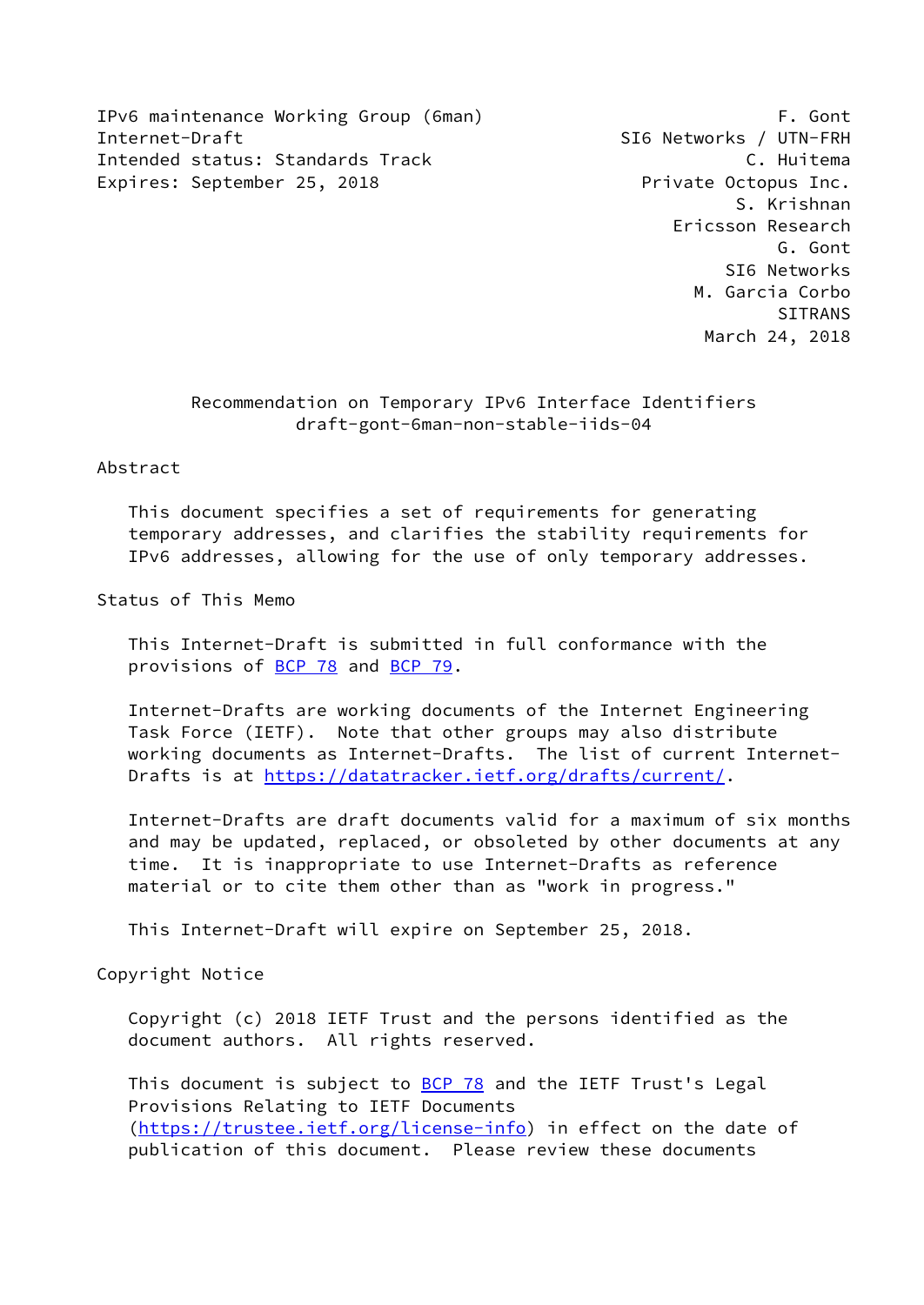IPv6 maintenance Working Group (6man) F. Gont Internet-Draft SI6 Networks / UTN-FRH Intended status: Standards Track C. Huitema Expires: September 25, 2018 The Contract Private Octopus Inc.

 S. Krishnan Ericsson Research G. Gont SI6 Networks M. Garcia Corbo SITRANS March 24, 2018

# Recommendation on Temporary IPv6 Interface Identifiers draft-gont-6man-non-stable-iids-04

### Abstract

 This document specifies a set of requirements for generating temporary addresses, and clarifies the stability requirements for IPv6 addresses, allowing for the use of only temporary addresses.

Status of This Memo

 This Internet-Draft is submitted in full conformance with the provisions of [BCP 78](https://datatracker.ietf.org/doc/pdf/bcp78) and [BCP 79](https://datatracker.ietf.org/doc/pdf/bcp79).

 Internet-Drafts are working documents of the Internet Engineering Task Force (IETF). Note that other groups may also distribute working documents as Internet-Drafts. The list of current Internet- Drafts is at<https://datatracker.ietf.org/drafts/current/>.

 Internet-Drafts are draft documents valid for a maximum of six months and may be updated, replaced, or obsoleted by other documents at any time. It is inappropriate to use Internet-Drafts as reference material or to cite them other than as "work in progress."

This Internet-Draft will expire on September 25, 2018.

Copyright Notice

 Copyright (c) 2018 IETF Trust and the persons identified as the document authors. All rights reserved.

This document is subject to **[BCP 78](https://datatracker.ietf.org/doc/pdf/bcp78)** and the IETF Trust's Legal Provisions Relating to IETF Documents [\(https://trustee.ietf.org/license-info](https://trustee.ietf.org/license-info)) in effect on the date of publication of this document. Please review these documents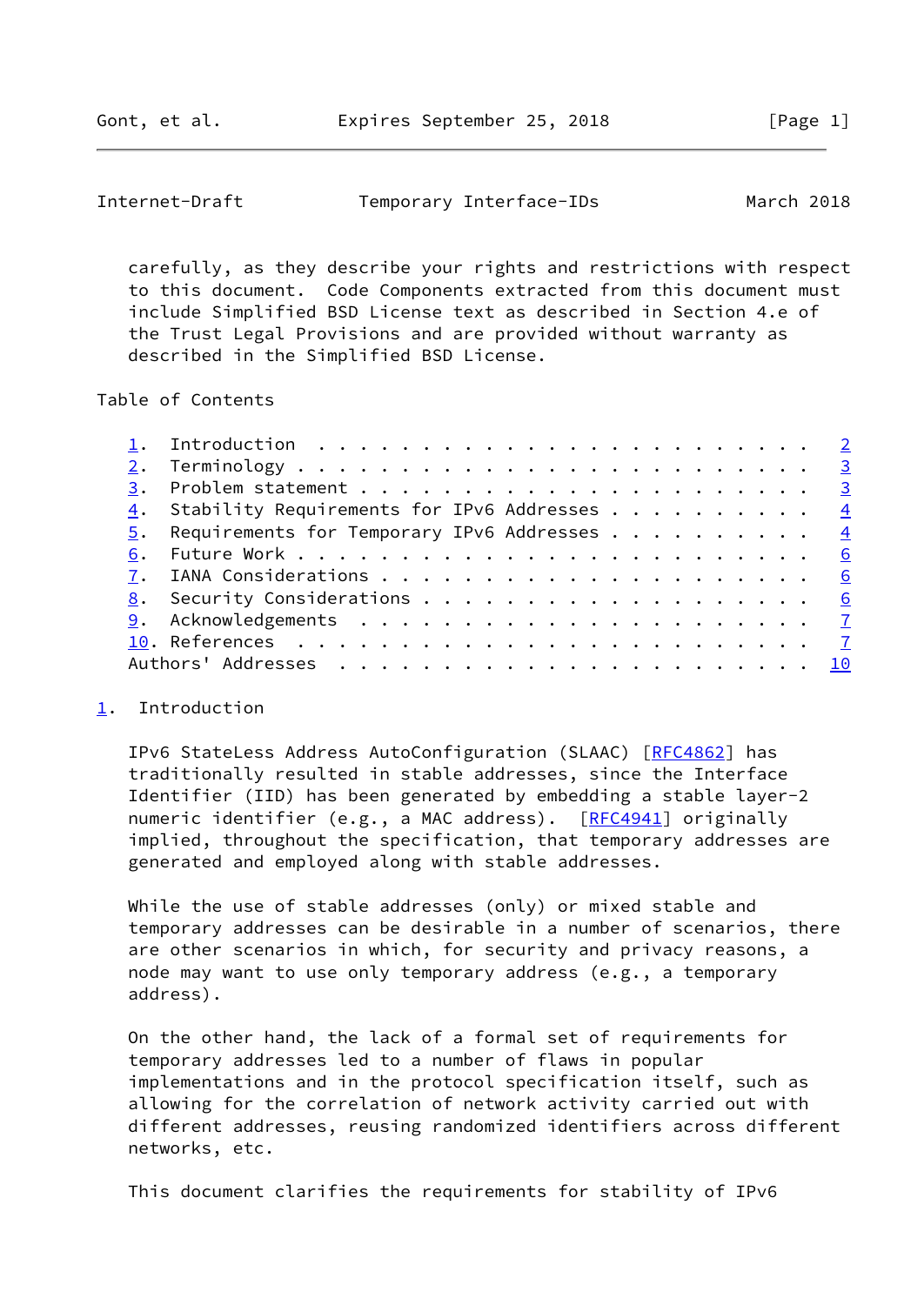<span id="page-1-1"></span>

| Internet-Draft | Temporary Interface-IDs | March 2018 |
|----------------|-------------------------|------------|
|----------------|-------------------------|------------|

 carefully, as they describe your rights and restrictions with respect to this document. Code Components extracted from this document must include Simplified BSD License text as described in Section 4.e of the Trust Legal Provisions and are provided without warranty as described in the Simplified BSD License.

Table of Contents

|  | $\underline{4}$ . Stability Requirements for IPv6 Addresses $\underline{4}$     |  |
|--|---------------------------------------------------------------------------------|--|
|  | 5. Requirements for Temporary IPv6 Addresses $\frac{4}{3}$                      |  |
|  |                                                                                 |  |
|  |                                                                                 |  |
|  |                                                                                 |  |
|  |                                                                                 |  |
|  | 10. References $\ldots \ldots \ldots \ldots \ldots \ldots \ldots \ldots \ldots$ |  |
|  |                                                                                 |  |
|  |                                                                                 |  |

### <span id="page-1-0"></span>[1](#page-1-0). Introduction

IPv6 StateLess Address AutoConfiguration (SLAAC) [\[RFC4862](https://datatracker.ietf.org/doc/pdf/rfc4862)] has traditionally resulted in stable addresses, since the Interface Identifier (IID) has been generated by embedding a stable layer-2 numeric identifier (e.g., a MAC address). [[RFC4941\]](https://datatracker.ietf.org/doc/pdf/rfc4941) originally implied, throughout the specification, that temporary addresses are generated and employed along with stable addresses.

 While the use of stable addresses (only) or mixed stable and temporary addresses can be desirable in a number of scenarios, there are other scenarios in which, for security and privacy reasons, a node may want to use only temporary address (e.g., a temporary address).

 On the other hand, the lack of a formal set of requirements for temporary addresses led to a number of flaws in popular implementations and in the protocol specification itself, such as allowing for the correlation of network activity carried out with different addresses, reusing randomized identifiers across different networks, etc.

This document clarifies the requirements for stability of IPv6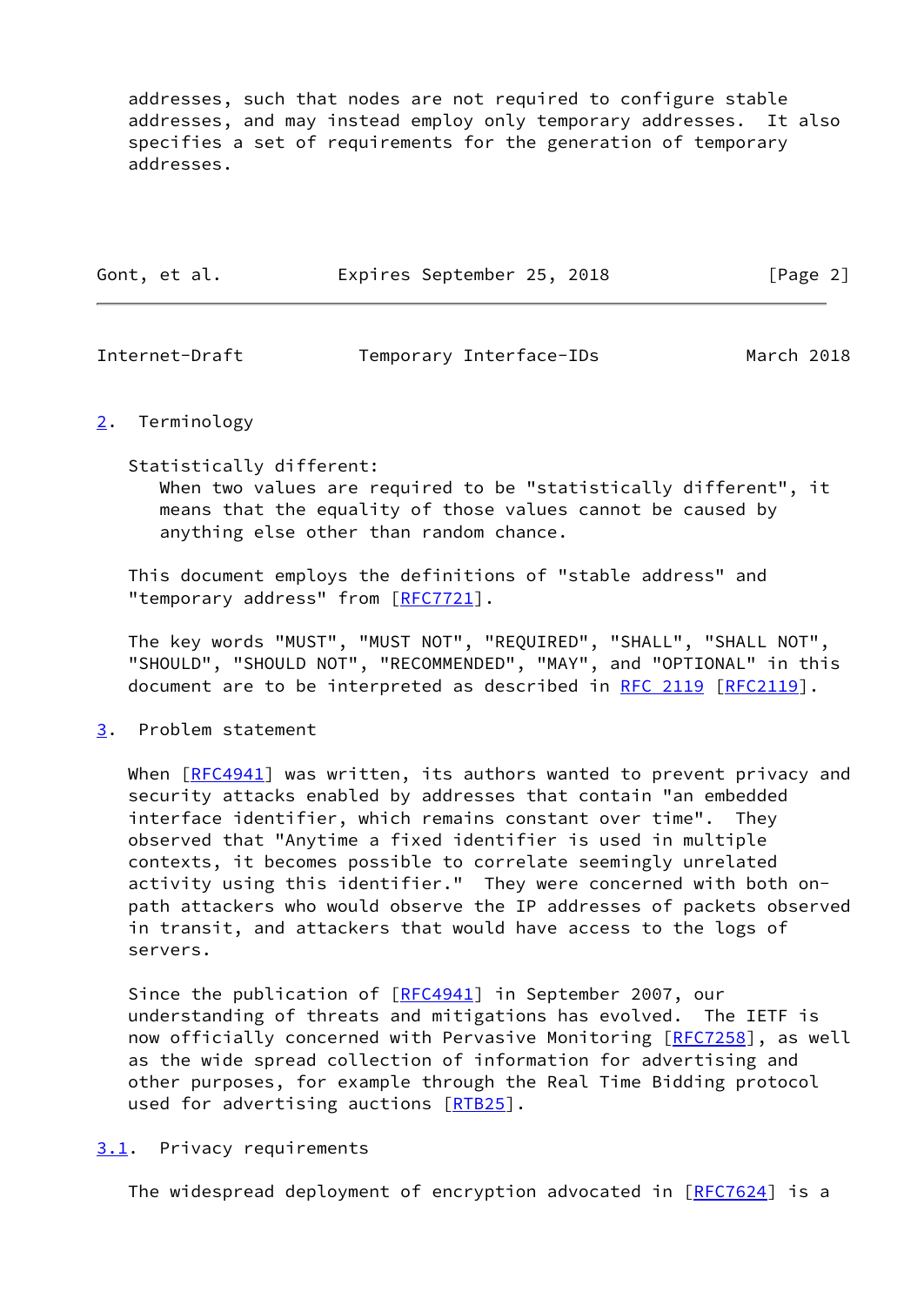addresses, such that nodes are not required to configure stable addresses, and may instead employ only temporary addresses. It also specifies a set of requirements for the generation of temporary addresses.

| Gont, et al. | Expires September 25, 2018 | [Page 2] |
|--------------|----------------------------|----------|
|--------------|----------------------------|----------|

<span id="page-2-1"></span>

| Internet-Draft | Temporary Interface-IDs | March 2018 |
|----------------|-------------------------|------------|
|----------------|-------------------------|------------|

### <span id="page-2-0"></span>[2](#page-2-0). Terminology

Statistically different:

 When two values are required to be "statistically different", it means that the equality of those values cannot be caused by anything else other than random chance.

 This document employs the definitions of "stable address" and "temporary address" from [\[RFC7721](https://datatracker.ietf.org/doc/pdf/rfc7721)].

 The key words "MUST", "MUST NOT", "REQUIRED", "SHALL", "SHALL NOT", "SHOULD", "SHOULD NOT", "RECOMMENDED", "MAY", and "OPTIONAL" in this document are to be interpreted as described in [RFC 2119 \[RFC2119](https://datatracker.ietf.org/doc/pdf/rfc2119)].

<span id="page-2-2"></span>[3](#page-2-2). Problem statement

When [\[RFC4941](https://datatracker.ietf.org/doc/pdf/rfc4941)] was written, its authors wanted to prevent privacy and security attacks enabled by addresses that contain "an embedded interface identifier, which remains constant over time". They observed that "Anytime a fixed identifier is used in multiple contexts, it becomes possible to correlate seemingly unrelated activity using this identifier." They were concerned with both on path attackers who would observe the IP addresses of packets observed in transit, and attackers that would have access to the logs of servers.

Since the publication of [\[RFC4941](https://datatracker.ietf.org/doc/pdf/rfc4941)] in September 2007, our understanding of threats and mitigations has evolved. The IETF is now officially concerned with Pervasive Monitoring [[RFC7258\]](https://datatracker.ietf.org/doc/pdf/rfc7258), as well as the wide spread collection of information for advertising and other purposes, for example through the Real Time Bidding protocol used for advertising auctions [[RTB25\]](#page-10-1).

<span id="page-2-3"></span>[3.1](#page-2-3). Privacy requirements

The widespread deployment of encryption advocated in [\[RFC7624](https://datatracker.ietf.org/doc/pdf/rfc7624)] is a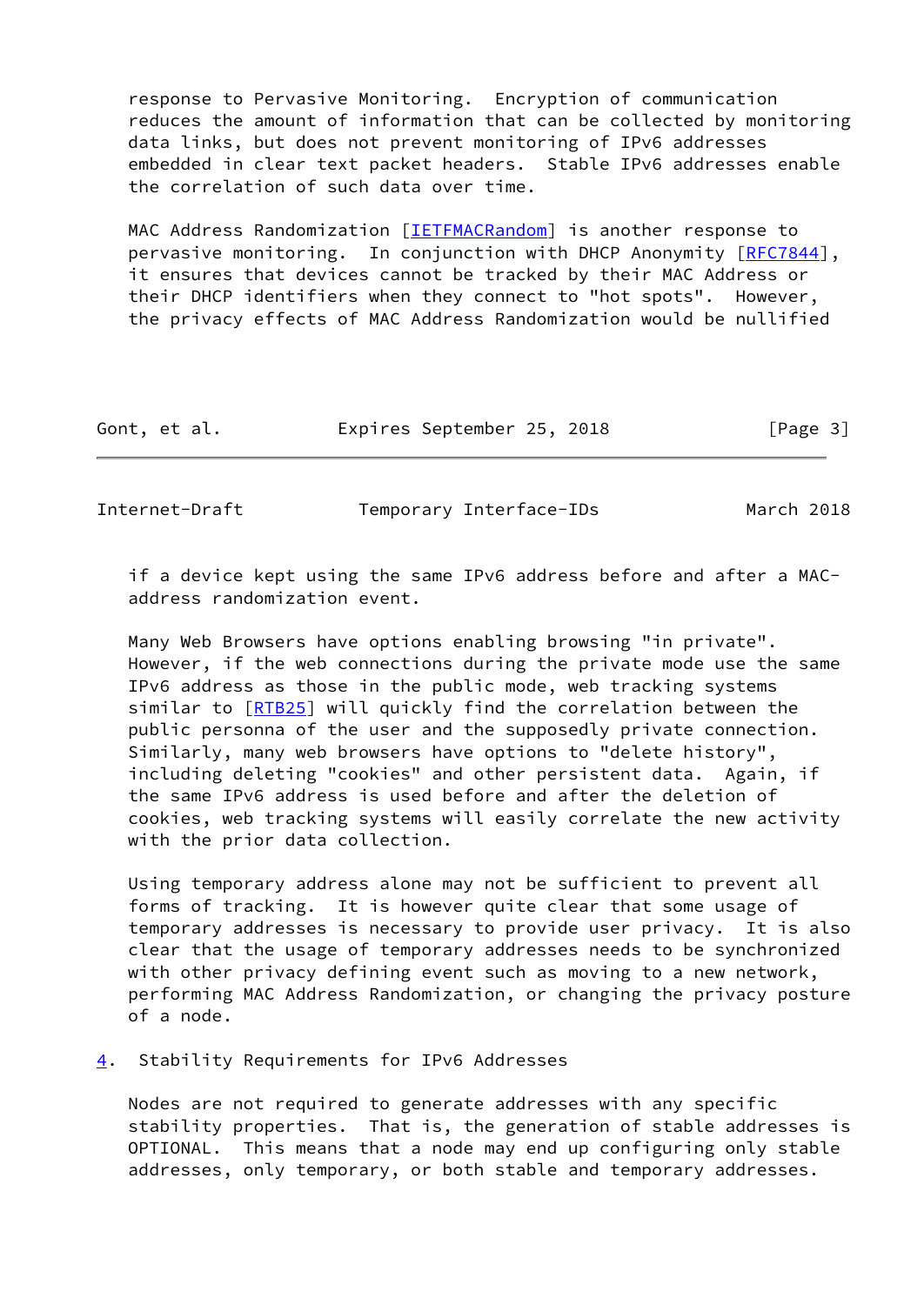response to Pervasive Monitoring. Encryption of communication reduces the amount of information that can be collected by monitoring data links, but does not prevent monitoring of IPv6 addresses embedded in clear text packet headers. Stable IPv6 addresses enable the correlation of such data over time.

 MAC Address Randomization [[IETFMACRandom\]](#page-8-0) is another response to pervasive monitoring. In conjunction with DHCP Anonymity [[RFC7844](https://datatracker.ietf.org/doc/pdf/rfc7844)], it ensures that devices cannot be tracked by their MAC Address or their DHCP identifiers when they connect to "hot spots". However, the privacy effects of MAC Address Randomization would be nullified

| Gont, et al. |  | Expires September 25, 2018 |  |  | [Page 3] |  |  |
|--------------|--|----------------------------|--|--|----------|--|--|
|--------------|--|----------------------------|--|--|----------|--|--|

<span id="page-3-1"></span>Internet-Draft Temporary Interface-IDs March 2018

 if a device kept using the same IPv6 address before and after a MAC address randomization event.

 Many Web Browsers have options enabling browsing "in private". However, if the web connections during the private mode use the same IPv6 address as those in the public mode, web tracking systems similar to [[RTB25\]](#page-10-1) will quickly find the correlation between the public personna of the user and the supposedly private connection. Similarly, many web browsers have options to "delete history", including deleting "cookies" and other persistent data. Again, if the same IPv6 address is used before and after the deletion of cookies, web tracking systems will easily correlate the new activity with the prior data collection.

 Using temporary address alone may not be sufficient to prevent all forms of tracking. It is however quite clear that some usage of temporary addresses is necessary to provide user privacy. It is also clear that the usage of temporary addresses needs to be synchronized with other privacy defining event such as moving to a new network, performing MAC Address Randomization, or changing the privacy posture of a node.

<span id="page-3-0"></span>[4](#page-3-0). Stability Requirements for IPv6 Addresses

 Nodes are not required to generate addresses with any specific stability properties. That is, the generation of stable addresses is OPTIONAL. This means that a node may end up configuring only stable addresses, only temporary, or both stable and temporary addresses.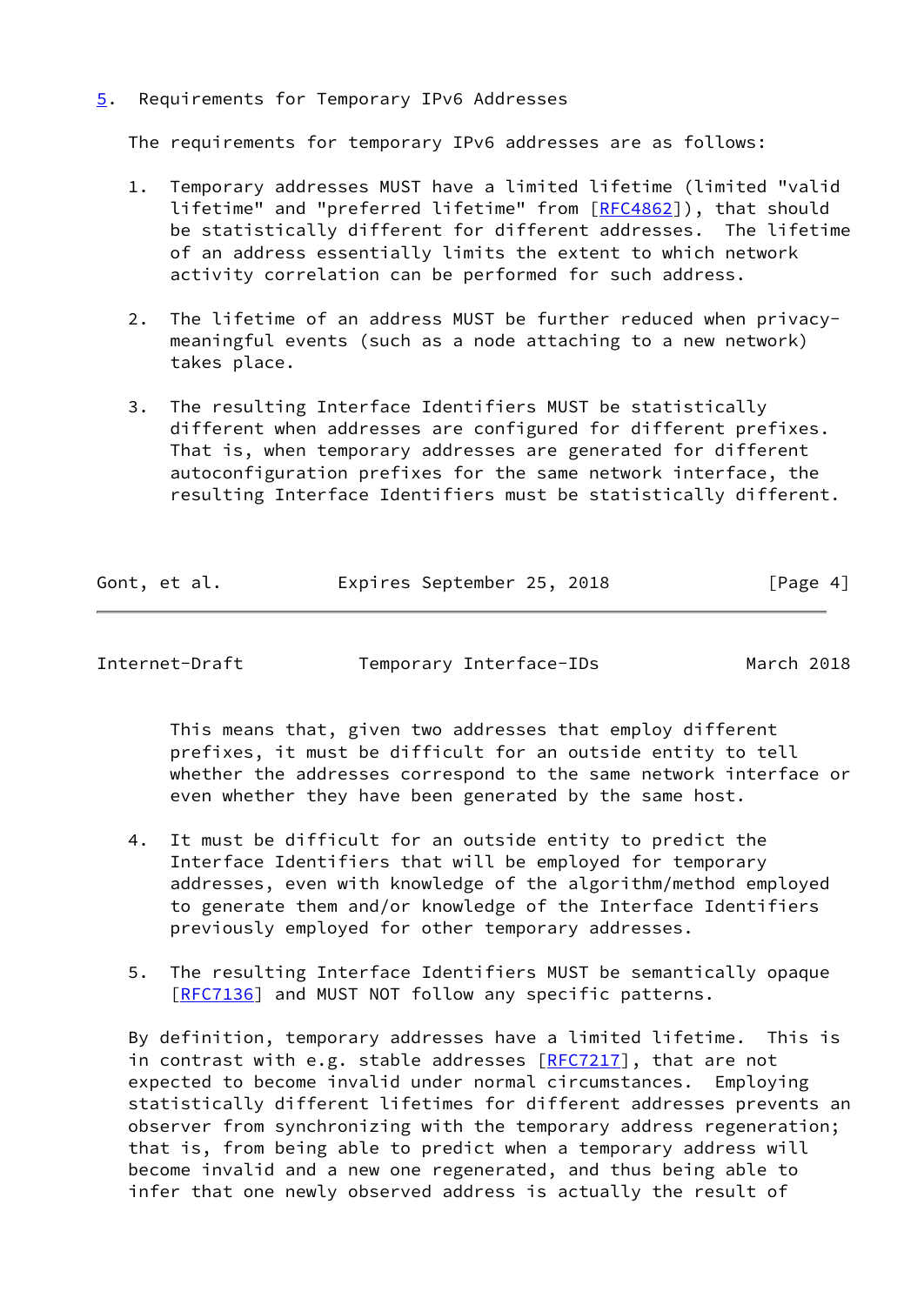## <span id="page-4-0"></span>[5](#page-4-0). Requirements for Temporary IPv6 Addresses

The requirements for temporary IPv6 addresses are as follows:

- 1. Temporary addresses MUST have a limited lifetime (limited "valid lifetime" and "preferred lifetime" from [\[RFC4862](https://datatracker.ietf.org/doc/pdf/rfc4862)]), that should be statistically different for different addresses. The lifetime of an address essentially limits the extent to which network activity correlation can be performed for such address.
- 2. The lifetime of an address MUST be further reduced when privacy meaningful events (such as a node attaching to a new network) takes place.
- 3. The resulting Interface Identifiers MUST be statistically different when addresses are configured for different prefixes. That is, when temporary addresses are generated for different autoconfiguration prefixes for the same network interface, the resulting Interface Identifiers must be statistically different.

| Gont, et al. | Expires September 25, 2018 | [Page 4] |
|--------------|----------------------------|----------|
|              |                            |          |

Internet-Draft Temporary Interface-IDs March 2018

 This means that, given two addresses that employ different prefixes, it must be difficult for an outside entity to tell whether the addresses correspond to the same network interface or even whether they have been generated by the same host.

- 4. It must be difficult for an outside entity to predict the Interface Identifiers that will be employed for temporary addresses, even with knowledge of the algorithm/method employed to generate them and/or knowledge of the Interface Identifiers previously employed for other temporary addresses.
- 5. The resulting Interface Identifiers MUST be semantically opaque [\[RFC7136](https://datatracker.ietf.org/doc/pdf/rfc7136)] and MUST NOT follow any specific patterns.

 By definition, temporary addresses have a limited lifetime. This is in contrast with e.g. stable addresses  $[REC7217]$ , that are not expected to become invalid under normal circumstances. Employing statistically different lifetimes for different addresses prevents an observer from synchronizing with the temporary address regeneration; that is, from being able to predict when a temporary address will become invalid and a new one regenerated, and thus being able to infer that one newly observed address is actually the result of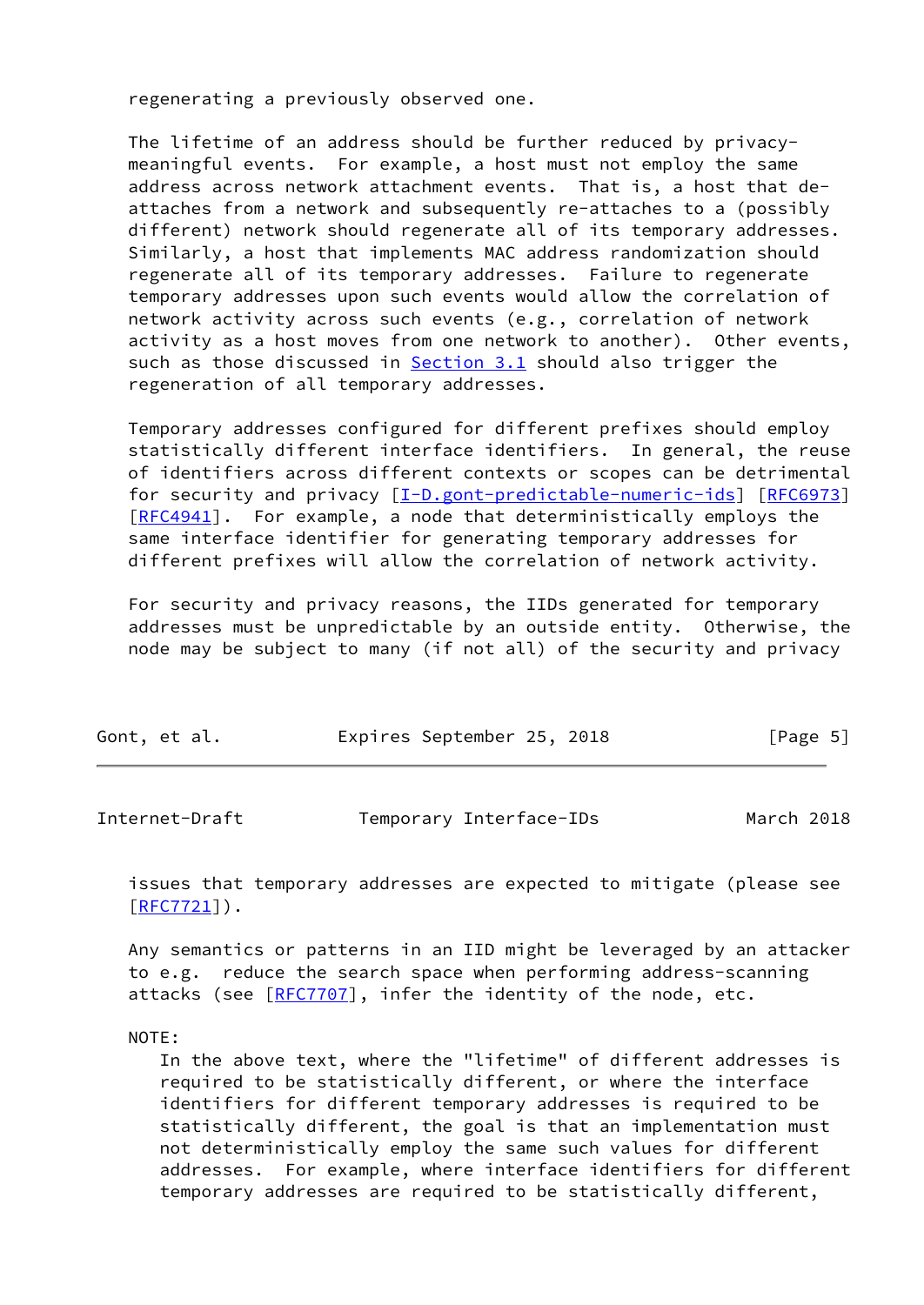regenerating a previously observed one.

 The lifetime of an address should be further reduced by privacy meaningful events. For example, a host must not employ the same address across network attachment events. That is, a host that de attaches from a network and subsequently re-attaches to a (possibly different) network should regenerate all of its temporary addresses. Similarly, a host that implements MAC address randomization should regenerate all of its temporary addresses. Failure to regenerate temporary addresses upon such events would allow the correlation of network activity across such events (e.g., correlation of network activity as a host moves from one network to another). Other events, such as those discussed in **[Section 3.1](#page-2-3)** should also trigger the regeneration of all temporary addresses.

 Temporary addresses configured for different prefixes should employ statistically different interface identifiers. In general, the reuse of identifiers across different contexts or scopes can be detrimental for security and privacy [\[I-D.gont-predictable-numeric-ids](#page-8-1)] [\[RFC6973](https://datatracker.ietf.org/doc/pdf/rfc6973)] [\[RFC4941](https://datatracker.ietf.org/doc/pdf/rfc4941)]. For example, a node that deterministically employs the same interface identifier for generating temporary addresses for different prefixes will allow the correlation of network activity.

 For security and privacy reasons, the IIDs generated for temporary addresses must be unpredictable by an outside entity. Otherwise, the node may be subject to many (if not all) of the security and privacy

| Gont, et al. | Expires September 25, 2018 |  | [Page 5] |  |
|--------------|----------------------------|--|----------|--|
|              |                            |  |          |  |

<span id="page-5-0"></span>

| Internet-Draft | Temporary Interface-IDs | March 2018 |
|----------------|-------------------------|------------|
|----------------|-------------------------|------------|

 issues that temporary addresses are expected to mitigate (please see  $[$ RFC7721 $]$ ).

 Any semantics or patterns in an IID might be leveraged by an attacker to e.g. reduce the search space when performing address-scanning attacks (see [\[RFC7707](https://datatracker.ietf.org/doc/pdf/rfc7707)], infer the identity of the node, etc.

#### NOTE:

 In the above text, where the "lifetime" of different addresses is required to be statistically different, or where the interface identifiers for different temporary addresses is required to be statistically different, the goal is that an implementation must not deterministically employ the same such values for different addresses. For example, where interface identifiers for different temporary addresses are required to be statistically different,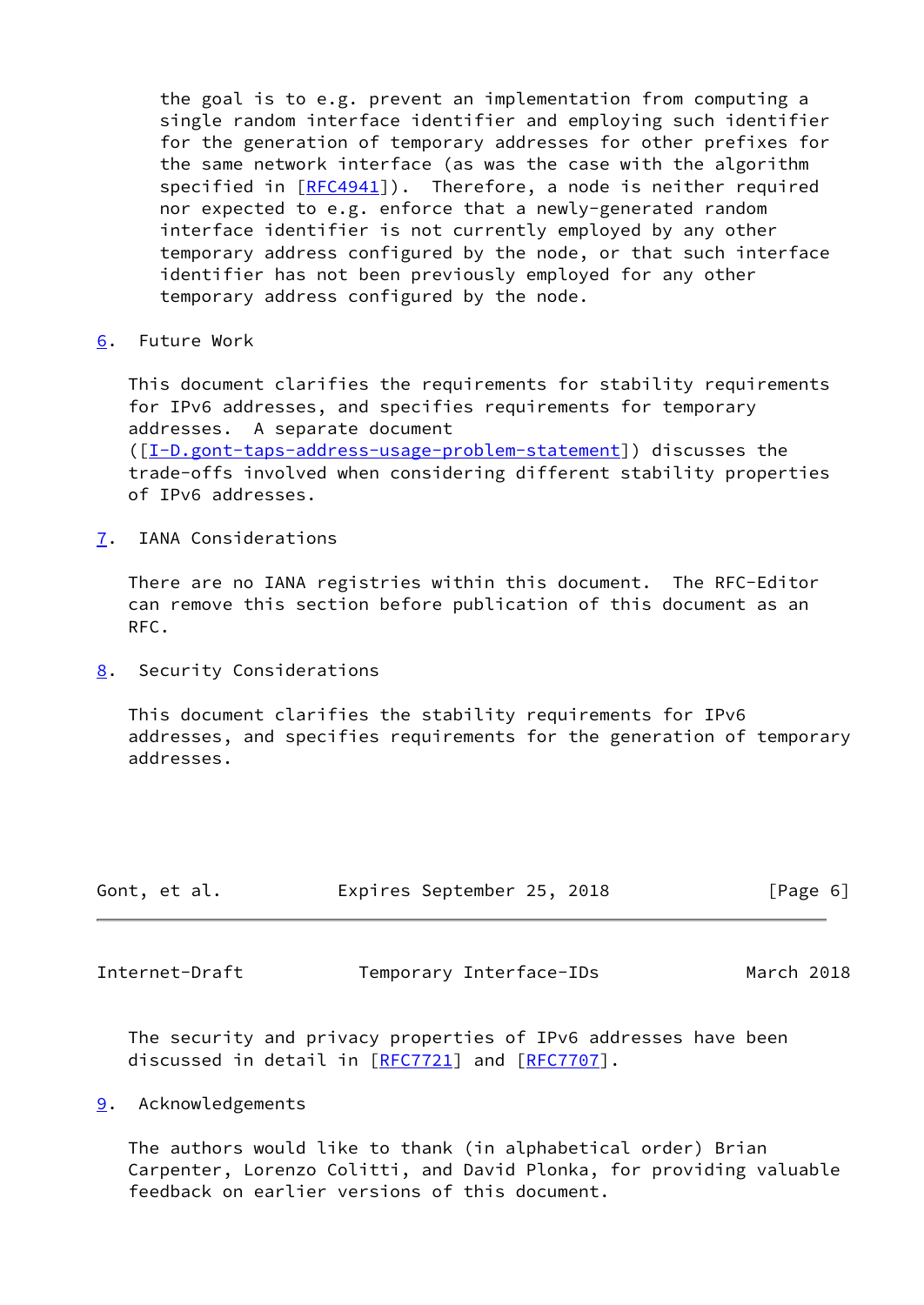the goal is to e.g. prevent an implementation from computing a single random interface identifier and employing such identifier for the generation of temporary addresses for other prefixes for the same network interface (as was the case with the algorithm specified in  $[REC4941]$ ). Therefore, a node is neither required nor expected to e.g. enforce that a newly-generated random interface identifier is not currently employed by any other temporary address configured by the node, or that such interface identifier has not been previously employed for any other temporary address configured by the node.

<span id="page-6-0"></span>[6](#page-6-0). Future Work

 This document clarifies the requirements for stability requirements for IPv6 addresses, and specifies requirements for temporary addresses. A separate document ([\[I-D.gont-taps-address-usage-problem-statement\]](#page-8-2)) discusses the trade-offs involved when considering different stability properties of IPv6 addresses.

<span id="page-6-1"></span>[7](#page-6-1). IANA Considerations

 There are no IANA registries within this document. The RFC-Editor can remove this section before publication of this document as an RFC.

<span id="page-6-2"></span>[8](#page-6-2). Security Considerations

 This document clarifies the stability requirements for IPv6 addresses, and specifies requirements for the generation of temporary addresses.

| Gont, et al. | Expires September 25, 2018 |  | [Page 6] |  |
|--------------|----------------------------|--|----------|--|
|              |                            |  |          |  |

<span id="page-6-4"></span>Internet-Draft Temporary Interface-IDs March 2018

 The security and privacy properties of IPv6 addresses have been discussed in detail in [\[RFC7721](https://datatracker.ietf.org/doc/pdf/rfc7721)] and [\[RFC7707](https://datatracker.ietf.org/doc/pdf/rfc7707)].

<span id="page-6-3"></span>[9](#page-6-3). Acknowledgements

 The authors would like to thank (in alphabetical order) Brian Carpenter, Lorenzo Colitti, and David Plonka, for providing valuable feedback on earlier versions of this document.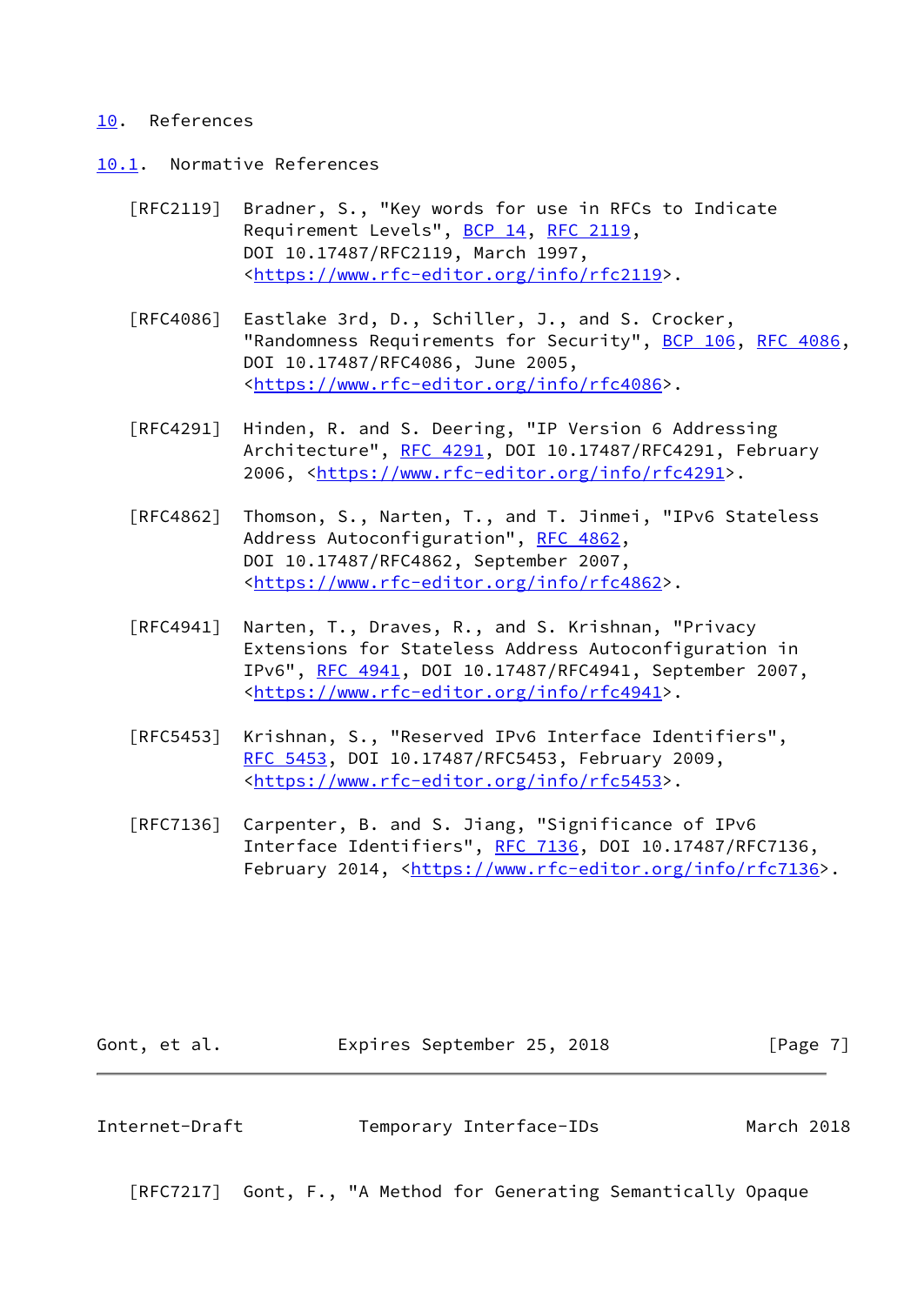#### <span id="page-7-0"></span>[10.](#page-7-0) References

- <span id="page-7-1"></span>[10.1](#page-7-1). Normative References
	- [RFC2119] Bradner, S., "Key words for use in RFCs to Indicate Requirement Levels", [BCP 14](https://datatracker.ietf.org/doc/pdf/bcp14), [RFC 2119](https://datatracker.ietf.org/doc/pdf/rfc2119), DOI 10.17487/RFC2119, March 1997, <[https://www.rfc-editor.org/info/rfc2119>](https://www.rfc-editor.org/info/rfc2119).
	- [RFC4086] Eastlake 3rd, D., Schiller, J., and S. Crocker, "Randomness Requirements for Security", [BCP 106](https://datatracker.ietf.org/doc/pdf/bcp106), [RFC 4086,](https://datatracker.ietf.org/doc/pdf/rfc4086) DOI 10.17487/RFC4086, June 2005, <[https://www.rfc-editor.org/info/rfc4086>](https://www.rfc-editor.org/info/rfc4086).
	- [RFC4291] Hinden, R. and S. Deering, "IP Version 6 Addressing Architecture", [RFC 4291](https://datatracker.ietf.org/doc/pdf/rfc4291), DOI 10.17487/RFC4291, February 2006, [<https://www.rfc-editor.org/info/rfc4291](https://www.rfc-editor.org/info/rfc4291)>.
	- [RFC4862] Thomson, S., Narten, T., and T. Jinmei, "IPv6 Stateless Address Autoconfiguration", [RFC 4862,](https://datatracker.ietf.org/doc/pdf/rfc4862) DOI 10.17487/RFC4862, September 2007, <[https://www.rfc-editor.org/info/rfc4862>](https://www.rfc-editor.org/info/rfc4862).
	- [RFC4941] Narten, T., Draves, R., and S. Krishnan, "Privacy Extensions for Stateless Address Autoconfiguration in IPv6", [RFC 4941](https://datatracker.ietf.org/doc/pdf/rfc4941), DOI 10.17487/RFC4941, September 2007, <[https://www.rfc-editor.org/info/rfc4941>](https://www.rfc-editor.org/info/rfc4941).
	- [RFC5453] Krishnan, S., "Reserved IPv6 Interface Identifiers", [RFC 5453,](https://datatracker.ietf.org/doc/pdf/rfc5453) DOI 10.17487/RFC5453, February 2009, <[https://www.rfc-editor.org/info/rfc5453>](https://www.rfc-editor.org/info/rfc5453).
	- [RFC7136] Carpenter, B. and S. Jiang, "Significance of IPv6 Interface Identifiers", [RFC 7136,](https://datatracker.ietf.org/doc/pdf/rfc7136) DOI 10.17487/RFC7136, February 2014, <<https://www.rfc-editor.org/info/rfc7136>>.

| Gont, et al. |  | Expires September 25, 2018 |  |  | [Page 7] |
|--------------|--|----------------------------|--|--|----------|
|--------------|--|----------------------------|--|--|----------|

Internet-Draft Temporary Interface-IDs March 2018

[RFC7217] Gont, F., "A Method for Generating Semantically Opaque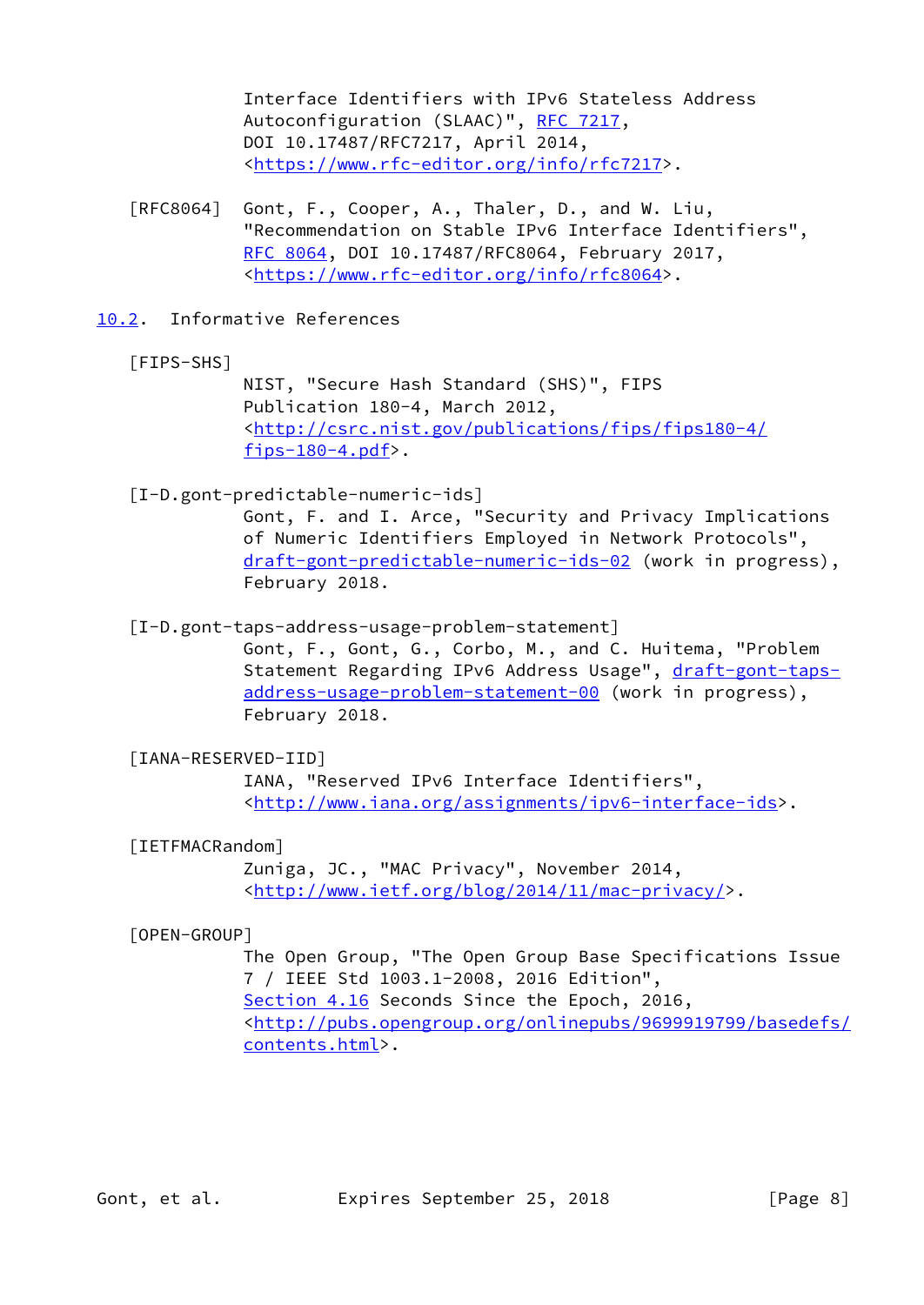Interface Identifiers with IPv6 Stateless Address Autoconfiguration (SLAAC)", [RFC 7217,](https://datatracker.ietf.org/doc/pdf/rfc7217) DOI 10.17487/RFC7217, April 2014, <[https://www.rfc-editor.org/info/rfc7217>](https://www.rfc-editor.org/info/rfc7217).

- [RFC8064] Gont, F., Cooper, A., Thaler, D., and W. Liu, "Recommendation on Stable IPv6 Interface Identifiers", [RFC 8064,](https://datatracker.ietf.org/doc/pdf/rfc8064) DOI 10.17487/RFC8064, February 2017, <[https://www.rfc-editor.org/info/rfc8064>](https://www.rfc-editor.org/info/rfc8064).
- <span id="page-8-3"></span>[10.2](#page-8-3). Informative References
	- [FIPS-SHS]

 NIST, "Secure Hash Standard (SHS)", FIPS Publication 180-4, March 2012, <[http://csrc.nist.gov/publications/fips/fips180-4/](http://csrc.nist.gov/publications/fips/fips180-4/fips-180-4.pdf) fips- $180-4.pdf$ .

<span id="page-8-1"></span>[I-D.gont-predictable-numeric-ids]

 Gont, F. and I. Arce, "Security and Privacy Implications of Numeric Identifiers Employed in Network Protocols", [draft-gont-predictable-numeric-ids-02](https://datatracker.ietf.org/doc/pdf/draft-gont-predictable-numeric-ids-02) (work in progress), February 2018.

<span id="page-8-2"></span>[I-D.gont-taps-address-usage-problem-statement]

 Gont, F., Gont, G., Corbo, M., and C. Huitema, "Problem Statement Regarding IPv6 Address Usage", [draft-gont-taps](https://datatracker.ietf.org/doc/pdf/draft-gont-taps-address-usage-problem-statement-00) [address-usage-problem-statement-00](https://datatracker.ietf.org/doc/pdf/draft-gont-taps-address-usage-problem-statement-00) (work in progress), February 2018.

# [IANA-RESERVED-IID]

 IANA, "Reserved IPv6 Interface Identifiers", <[http://www.iana.org/assignments/ipv6-interface-ids>](http://www.iana.org/assignments/ipv6-interface-ids).

## <span id="page-8-0"></span>[IETFMACRandom]

 Zuniga, JC., "MAC Privacy", November 2014, <[http://www.ietf.org/blog/2014/11/mac-privacy/>](http://www.ietf.org/blog/2014/11/mac-privacy/).

## [OPEN-GROUP]

 The Open Group, "The Open Group Base Specifications Issue 7 / IEEE Std 1003.1-2008, 2016 Edition", Section 4.16 Seconds Since the Epoch, 2016, <[http://pubs.opengroup.org/onlinepubs/9699919799/basedefs/](http://pubs.opengroup.org/onlinepubs/9699919799/basedefs/contents.html) [contents.html>](http://pubs.opengroup.org/onlinepubs/9699919799/basedefs/contents.html).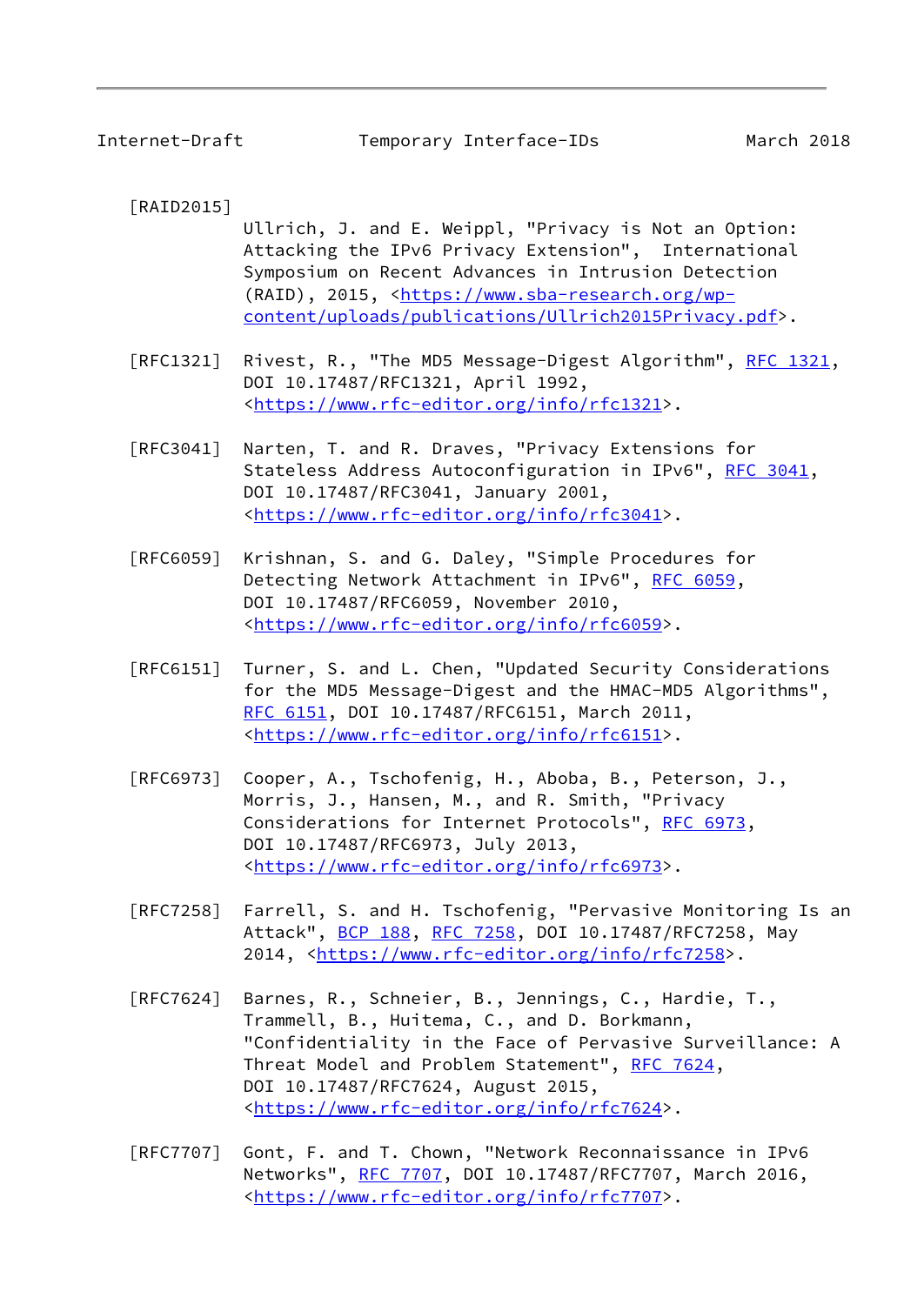[RAID2015]

 Ullrich, J. and E. Weippl, "Privacy is Not an Option: Attacking the IPv6 Privacy Extension", International Symposium on Recent Advances in Intrusion Detection (RAID), 2015, [<https://www.sba-research.org/wp](https://www.sba-research.org/wp-content/uploads/publications/Ullrich2015Privacy.pdf) [content/uploads/publications/Ullrich2015Privacy.pdf](https://www.sba-research.org/wp-content/uploads/publications/Ullrich2015Privacy.pdf)>.

- [RFC1321] Rivest, R., "The MD5 Message-Digest Algorithm", [RFC 1321,](https://datatracker.ietf.org/doc/pdf/rfc1321) DOI 10.17487/RFC1321, April 1992, <[https://www.rfc-editor.org/info/rfc1321>](https://www.rfc-editor.org/info/rfc1321).
- [RFC3041] Narten, T. and R. Draves, "Privacy Extensions for Stateless Address Autoconfiguration in IPv6", [RFC 3041](https://datatracker.ietf.org/doc/pdf/rfc3041), DOI 10.17487/RFC3041, January 2001, <[https://www.rfc-editor.org/info/rfc3041>](https://www.rfc-editor.org/info/rfc3041).
- [RFC6059] Krishnan, S. and G. Daley, "Simple Procedures for Detecting Network Attachment in IPv6", [RFC 6059](https://datatracker.ietf.org/doc/pdf/rfc6059), DOI 10.17487/RFC6059, November 2010, <[https://www.rfc-editor.org/info/rfc6059>](https://www.rfc-editor.org/info/rfc6059).
- [RFC6151] Turner, S. and L. Chen, "Updated Security Considerations for the MD5 Message-Digest and the HMAC-MD5 Algorithms", [RFC 6151,](https://datatracker.ietf.org/doc/pdf/rfc6151) DOI 10.17487/RFC6151, March 2011, <[https://www.rfc-editor.org/info/rfc6151>](https://www.rfc-editor.org/info/rfc6151).
- [RFC6973] Cooper, A., Tschofenig, H., Aboba, B., Peterson, J., Morris, J., Hansen, M., and R. Smith, "Privacy Considerations for Internet Protocols", [RFC 6973,](https://datatracker.ietf.org/doc/pdf/rfc6973) DOI 10.17487/RFC6973, July 2013, <[https://www.rfc-editor.org/info/rfc6973>](https://www.rfc-editor.org/info/rfc6973).
- [RFC7258] Farrell, S. and H. Tschofenig, "Pervasive Monitoring Is an Attack", [BCP 188,](https://datatracker.ietf.org/doc/pdf/bcp188) [RFC 7258](https://datatracker.ietf.org/doc/pdf/rfc7258), DOI 10.17487/RFC7258, May 2014, [<https://www.rfc-editor.org/info/rfc7258](https://www.rfc-editor.org/info/rfc7258)>.
- [RFC7624] Barnes, R., Schneier, B., Jennings, C., Hardie, T., Trammell, B., Huitema, C., and D. Borkmann, "Confidentiality in the Face of Pervasive Surveillance: A Threat Model and Problem Statement", [RFC 7624](https://datatracker.ietf.org/doc/pdf/rfc7624), DOI 10.17487/RFC7624, August 2015, <[https://www.rfc-editor.org/info/rfc7624>](https://www.rfc-editor.org/info/rfc7624).
- [RFC7707] Gont, F. and T. Chown, "Network Reconnaissance in IPv6 Networks", [RFC 7707](https://datatracker.ietf.org/doc/pdf/rfc7707), DOI 10.17487/RFC7707, March 2016, <[https://www.rfc-editor.org/info/rfc7707>](https://www.rfc-editor.org/info/rfc7707).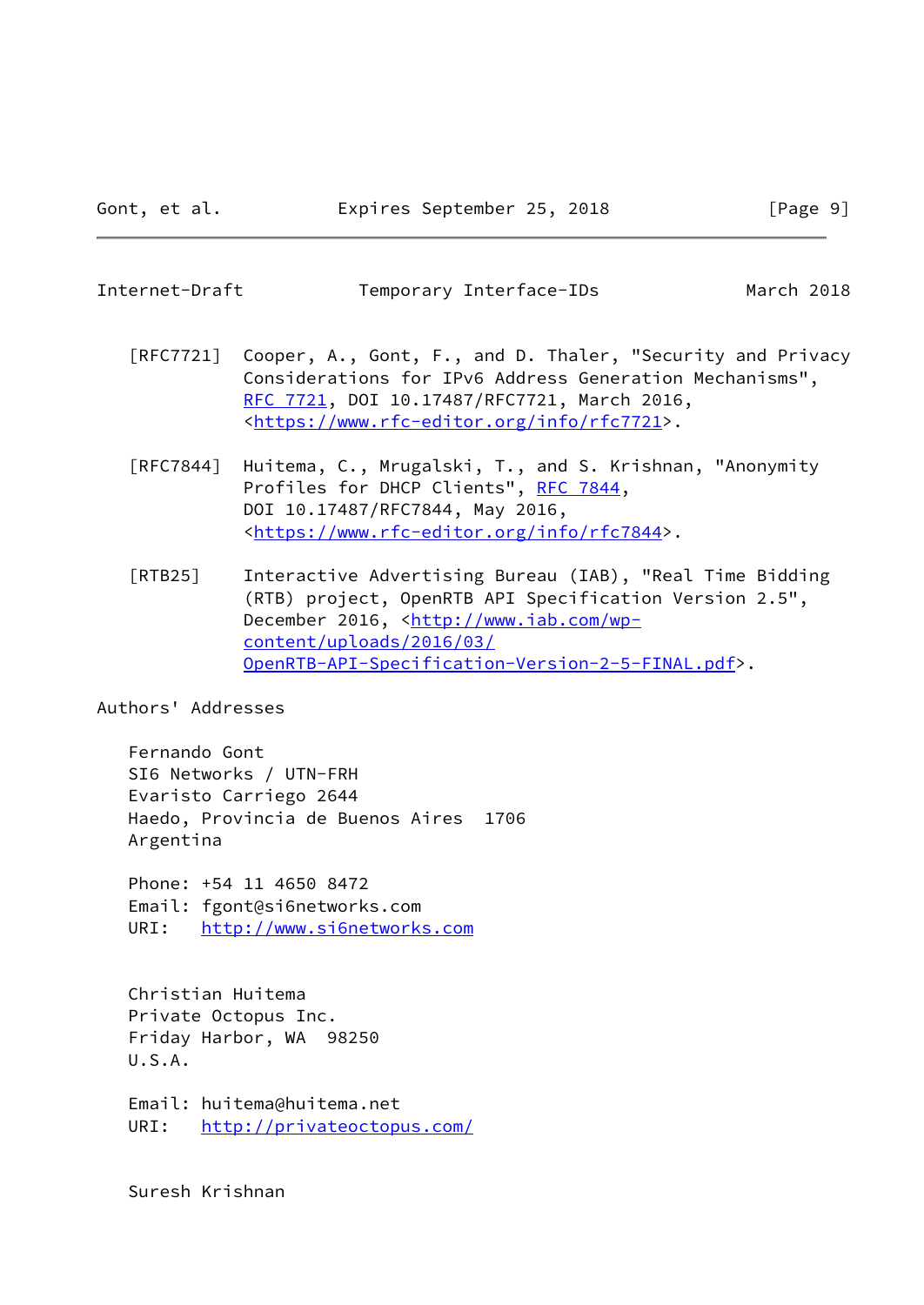March 2018

<span id="page-10-0"></span>

|  | Internet-Draft | Temporary Interface-IDs |
|--|----------------|-------------------------|
|--|----------------|-------------------------|

- [RFC7721] Cooper, A., Gont, F., and D. Thaler, "Security and Privacy Considerations for IPv6 Address Generation Mechanisms", [RFC 7721,](https://datatracker.ietf.org/doc/pdf/rfc7721) DOI 10.17487/RFC7721, March 2016, <[https://www.rfc-editor.org/info/rfc7721>](https://www.rfc-editor.org/info/rfc7721).
- [RFC7844] Huitema, C., Mrugalski, T., and S. Krishnan, "Anonymity Profiles for DHCP Clients", [RFC 7844,](https://datatracker.ietf.org/doc/pdf/rfc7844) DOI 10.17487/RFC7844, May 2016, <[https://www.rfc-editor.org/info/rfc7844>](https://www.rfc-editor.org/info/rfc7844).
- <span id="page-10-1"></span> [RTB25] Interactive Advertising Bureau (IAB), "Real Time Bidding (RTB) project, OpenRTB API Specification Version 2.5", December 2016, <[http://www.iab.com/wp](http://www.iab.com/wp-content/uploads/2016/03/OpenRTB-API-Specification-Version-2-5-FINAL.pdf) [content/uploads/2016/03/](http://www.iab.com/wp-content/uploads/2016/03/OpenRTB-API-Specification-Version-2-5-FINAL.pdf) [OpenRTB-API-Specification-Version-2-5-FINAL.pdf](http://www.iab.com/wp-content/uploads/2016/03/OpenRTB-API-Specification-Version-2-5-FINAL.pdf)>.

Authors' Addresses

 Fernando Gont SI6 Networks / UTN-FRH Evaristo Carriego 2644 Haedo, Provincia de Buenos Aires 1706 Argentina

 Phone: +54 11 4650 8472 Email: fgont@si6networks.com URI: <http://www.si6networks.com>

 Christian Huitema Private Octopus Inc. Friday Harbor, WA 98250 U.S.A.

 Email: huitema@huitema.net URI: <http://privateoctopus.com/>

Suresh Krishnan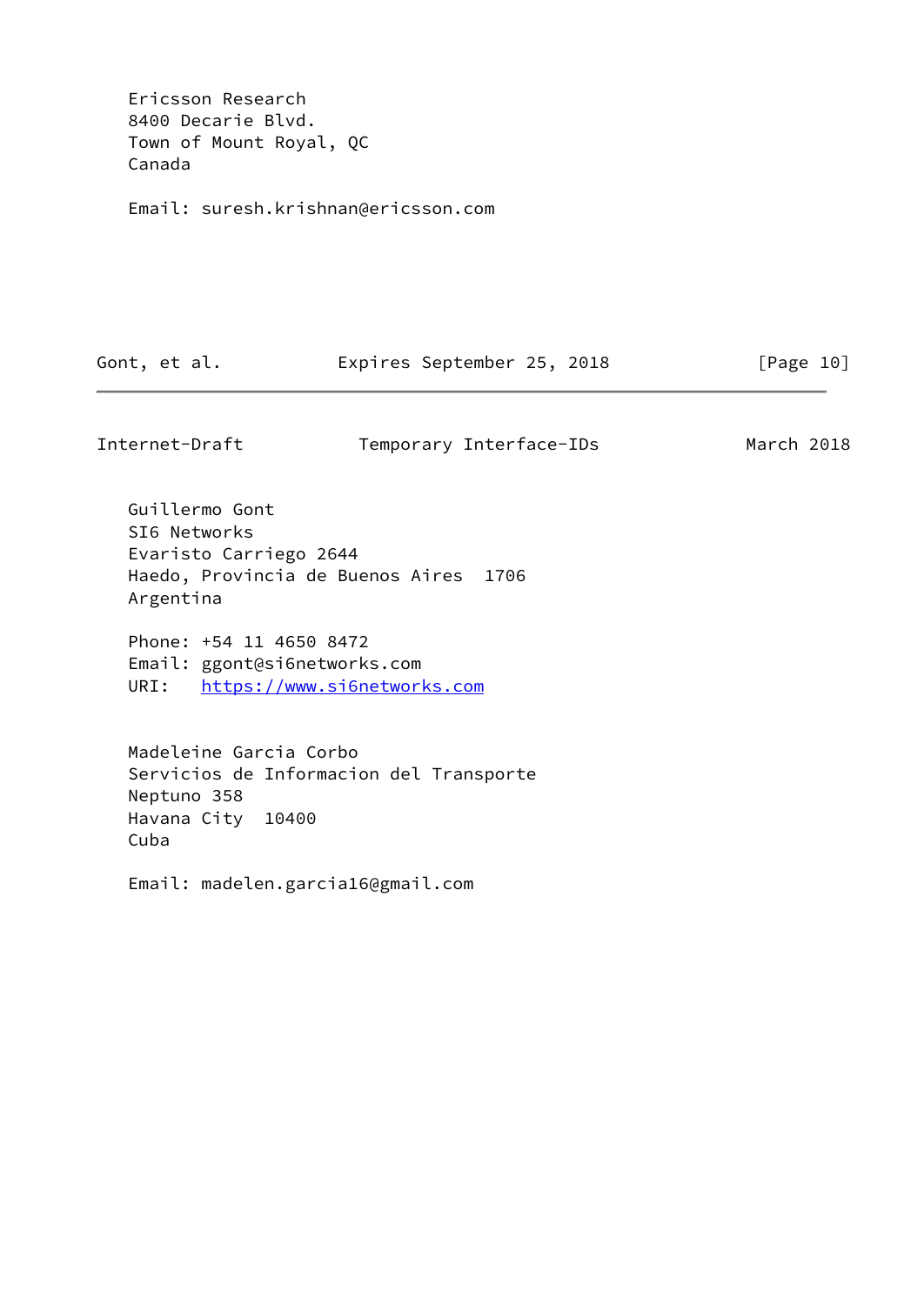Ericsson Research 8400 Decarie Blvd. Town of Mount Royal, QC Canada

Email: suresh.krishnan@ericsson.com

Gont, et al. **Expires September 25, 2018** [Page 10]

Internet-Draft Temporary Interface-IDs March 2018

 Guillermo Gont SI6 Networks Evaristo Carriego 2644 Haedo, Provincia de Buenos Aires 1706 Argentina

 Phone: +54 11 4650 8472 Email: ggont@si6networks.com URI: <https://www.si6networks.com>

 Madeleine Garcia Corbo Servicios de Informacion del Transporte Neptuno 358 Havana City 10400 Cuba

Email: madelen.garcia16@gmail.com